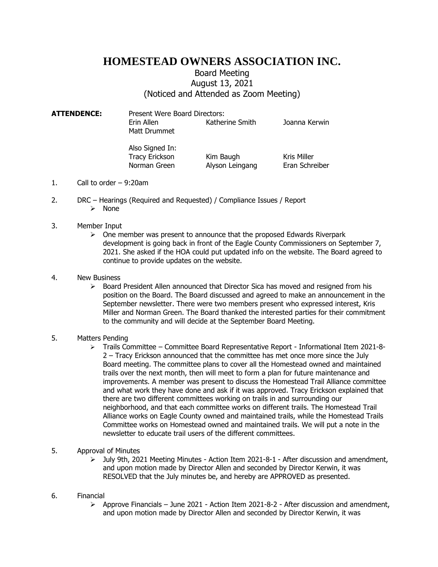## **HOMESTEAD OWNERS ASSOCIATION INC.**

## Board Meeting August 13, 2021 (Noticed and Attended as Zoom Meeting)

**ATTENDENCE:** Present Were Board Directors: Erin Allen Katherine Smith Joanna Kerwin Matt Drummet

> Also Signed In: Tracy Erickson Kim Baugh Kris Miller

Norman Green Alyson Leingang Eran Schreiber

- 1. Call to order 9:20am
- 2. DRC Hearings (Required and Requested) / Compliance Issues / Report ➢ None
- 3. Member Input
	- $\triangleright$  One member was present to announce that the proposed Edwards Riverpark development is going back in front of the Eagle County Commissioners on September 7, 2021. She asked if the HOA could put updated info on the website. The Board agreed to continue to provide updates on the website.

## 4. New Business

 $\triangleright$  Board President Allen announced that Director Sica has moved and resigned from his position on the Board. The Board discussed and agreed to make an announcement in the September newsletter. There were two members present who expressed interest, Kris Miller and Norman Green. The Board thanked the interested parties for their commitment to the community and will decide at the September Board Meeting.

## 5. Matters Pending

- ➢ Trails Committee Committee Board Representative Report Informational Item 2021-8- 2 – Tracy Erickson announced that the committee has met once more since the July Board meeting. The committee plans to cover all the Homestead owned and maintained trails over the next month, then will meet to form a plan for future maintenance and improvements. A member was present to discuss the Homestead Trail Alliance committee and what work they have done and ask if it was approved. Tracy Erickson explained that there are two different committees working on trails in and surrounding our neighborhood, and that each committee works on different trails. The Homestead Trail Alliance works on Eagle County owned and maintained trails, while the Homestead Trails Committee works on Homestead owned and maintained trails. We will put a note in the newsletter to educate trail users of the different committees.
- 5. Approval of Minutes
	- ➢ July 9th, 2021 Meeting Minutes Action Item 2021-8-1 After discussion and amendment, and upon motion made by Director Allen and seconded by Director Kerwin, it was RESOLVED that the July minutes be, and hereby are APPROVED as presented.
- 6. Financial
	- $\triangleright$  Approve Financials June 2021 Action Item 2021-8-2 After discussion and amendment, and upon motion made by Director Allen and seconded by Director Kerwin, it was